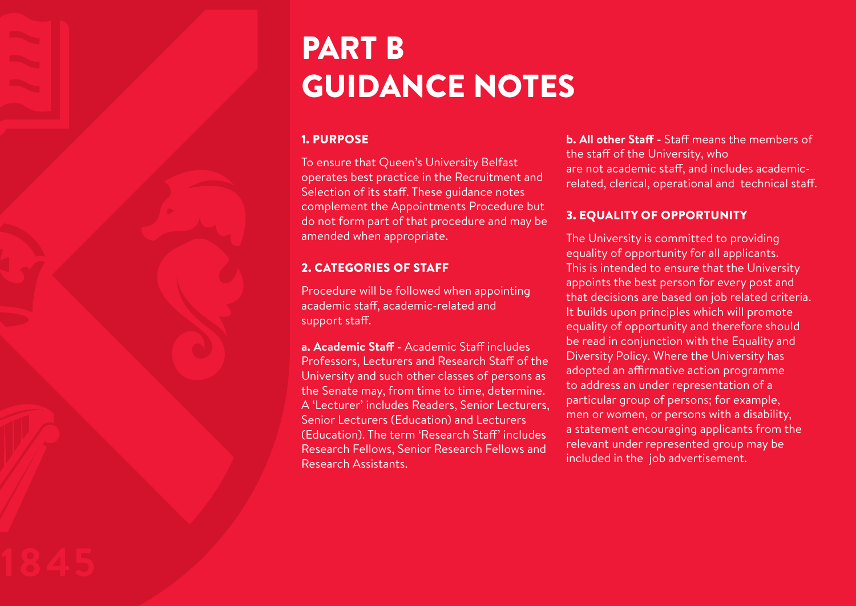# PART B GUIDANCE NOTES

#### 1. PURPOSE

To ensure that Queen's University Belfast operates best practice in the Recruitment and Selection of its staff. These guidance notes complement the Appointments Procedure but do not form part of that procedure and may be amended when appropriate.

# 2. CATEGORIES OF STAFF

Procedure will be followed when appointing academic staff, academic-related and support staff.

**a. Academic Staff -** Academic Staff includes Professors, Lecturers and Research Staff of the University and such other classes of persons as the Senate may, from time to time, determine. A 'Lecturer' includes Readers, Senior Lecturers, Senior Lecturers (Education) and Lecturers (Education). The term 'Research Staff' includes Research Fellows, Senior Research Fellows and Research Assistants.

**b. All other Staff -** Staff means the members of the staff of the University, who are not academic staff, and includes academicrelated, clerical, operational and technical staff.

# 3. EQUALITY OF OPPORTUNITY

The University is committed to providing equality of opportunity for all applicants. This is intended to ensure that the University appoints the best person for every post and that decisions are based on job related criteria. It builds upon principles which will promote equality of opportunity and therefore should be read in conjunction with the Equality and Diversity Policy. Where the University has adopted an affirmative action programme to address an under representation of a particular group of persons; for example, men or women, or persons with a disability, a statement encouraging applicants from the relevant under represented group may be included in the job advertisement.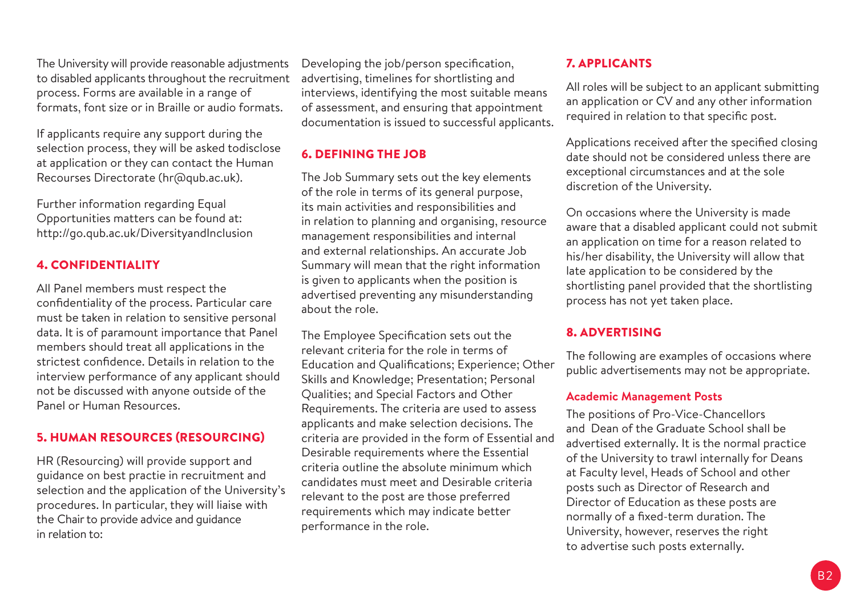The University will provide reasonable adjustments to disabled applicants throughout the recruitment process. Forms are available in a range of formats, font size or in Braille or audio formats.

If applicants require any support during the selection process, they will be asked todisclose at application or they can contact the Human Recourses Directorate (hr@qub.ac.uk).

Further information regarding Equal Opportunities matters can be found at: http://go.qub.ac.uk/DiversityandInclusion

#### 4. CONFIDENTIALITY

All Panel members must respect the confidentiality of the process. Particular care must be taken in relation to sensitive personal data. It is of paramount importance that Panel members should treat all applications in the strictest confidence. Details in relation to the interview performance of any applicant should not be discussed with anyone outside of the Panel or Human Resources.

#### 5. HUMAN RESOURCES (RESOURCING)

HR (Resourcing) will provide support and guidance on best practie in recruitment and selection and the application of the University's procedures. In particular, they will liaise with the Chair to provide advice and guidance in relation to:

Developing the job/person specification, advertising, timelines for shortlisting and interviews, identifying the most suitable means of assessment, and ensuring that appointment documentation is issued to successful applicants.

# 6. DEFINING THE JOB

The Job Summary sets out the key elements of the role in terms of its general purpose, its main activities and responsibilities and in relation to planning and organising, resource management responsibilities and internal and external relationships. An accurate Job Summary will mean that the right information is given to applicants when the position is advertised preventing any misunderstanding about the role.

The Employee Specification sets out the relevant criteria for the role in terms of Education and Qualifications; Experience; Other Skills and Knowledge; Presentation; Personal Qualities; and Special Factors and Other Requirements. The criteria are used to assess applicants and make selection decisions. The criteria are provided in the form of Essential and Desirable requirements where the Essential criteria outline the absolute minimum which candidates must meet and Desirable criteria relevant to the post are those preferred requirements which may indicate better performance in the role.

#### 7. APPLICANTS

All roles will be subject to an applicant submitting an application or CV and any other information required in relation to that specific post.

Applications received after the specified closing date should not be considered unless there are exceptional circumstances and at the sole discretion of the University.

On occasions where the University is made aware that a disabled applicant could not submit an application on time for a reason related to his/her disability, the University will allow that late application to be considered by the shortlisting panel provided that the shortlisting process has not yet taken place.

#### 8. ADVERTISING

The following are examples of occasions where public advertisements may not be appropriate.

#### **Academic Management Posts**

The positions of Pro-Vice-Chancellors and Dean of the Graduate School shall be advertised externally. It is the normal practice of the University to trawl internally for Deans at Faculty level, Heads of School and other posts such as Director of Research and Director of Education as these posts are normally of a fixed-term duration. The University, however, reserves the right to advertise such posts externally.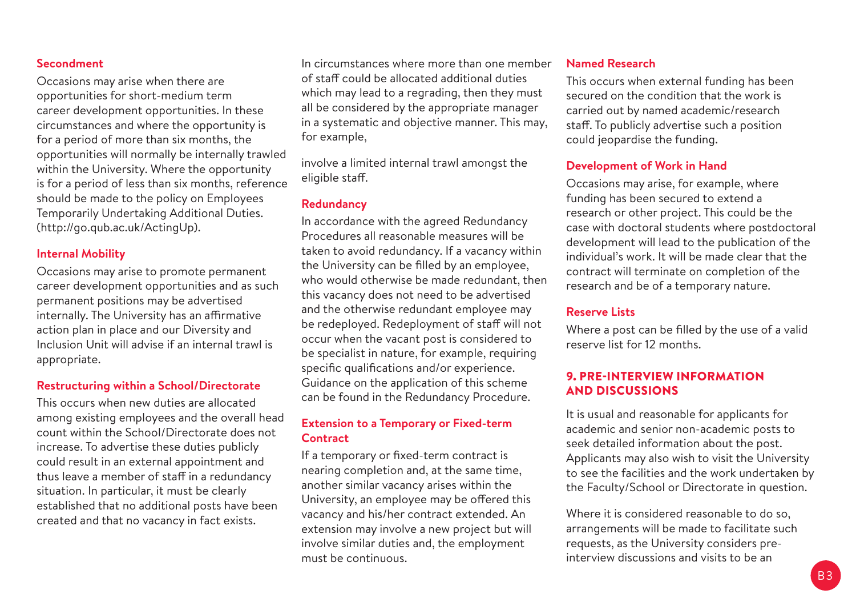#### **Secondment**

Occasions may arise when there are opportunities for short-medium term career development opportunities. In these circumstances and where the opportunity is for a period of more than six months, the opportunities will normally be internally trawled within the University. Where the opportunity is for a period of less than six months, reference should be made to the policy on Employees Temporarily Undertaking Additional Duties. (http://go.qub.ac.uk/ActingUp).

#### **Internal Mobility**

Occasions may arise to promote permanent career development opportunities and as such permanent positions may be advertised internally. The University has an affirmative action plan in place and our Diversity and Inclusion Unit will advise if an internal trawl is appropriate.

#### **Restructuring within a School/Directorate**

This occurs when new duties are allocated among existing employees and the overall head count within the School/Directorate does not increase. To advertise these duties publicly could result in an external appointment and thus leave a member of staff in a redundancy situation. In particular, it must be clearly established that no additional posts have been created and that no vacancy in fact exists.

In circumstances where more than one member of staff could be allocated additional duties which may lead to a regrading, then they must all be considered by the appropriate manager in a systematic and objective manner. This may, for example,

involve a limited internal trawl amongst the eligible staff.

#### **Redundancy**

In accordance with the agreed Redundancy Procedures all reasonable measures will be taken to avoid redundancy. If a vacancy within the University can be filled by an employee, who would otherwise be made redundant, then this vacancy does not need to be advertised and the otherwise redundant employee may be redeployed. Redeployment of staff will not occur when the vacant post is considered to be specialist in nature, for example, requiring specific qualifications and/or experience. Guidance on the application of this scheme can be found in the Redundancy Procedure.

#### **Extension to a Temporary or Fixed-term Contract**

If a temporary or fixed-term contract is nearing completion and, at the same time, another similar vacancy arises within the University, an employee may be offered this vacancy and his/her contract extended. An extension may involve a new project but will involve similar duties and, the employment must be continuous.

#### **Named Research**

This occurs when external funding has been secured on the condition that the work is carried out by named academic/research staff. To publicly advertise such a position could jeopardise the funding.

#### **Development of Work in Hand**

Occasions may arise, for example, where funding has been secured to extend a research or other project. This could be the case with doctoral students where postdoctoral development will lead to the publication of the individual's work. It will be made clear that the contract will terminate on completion of the research and be of a temporary nature.

#### **Reserve Lists**

Where a post can be filled by the use of a valid reserve list for 12 months.

#### 9. PRE-INTERVIEW INFORMATION AND DISCUSSIONS

It is usual and reasonable for applicants for academic and senior non-academic posts to seek detailed information about the post. Applicants may also wish to visit the University to see the facilities and the work undertaken by the Faculty/School or Directorate in question.

Where it is considered reasonable to do so. arrangements will be made to facilitate such requests, as the University considers preinterview discussions and visits to be an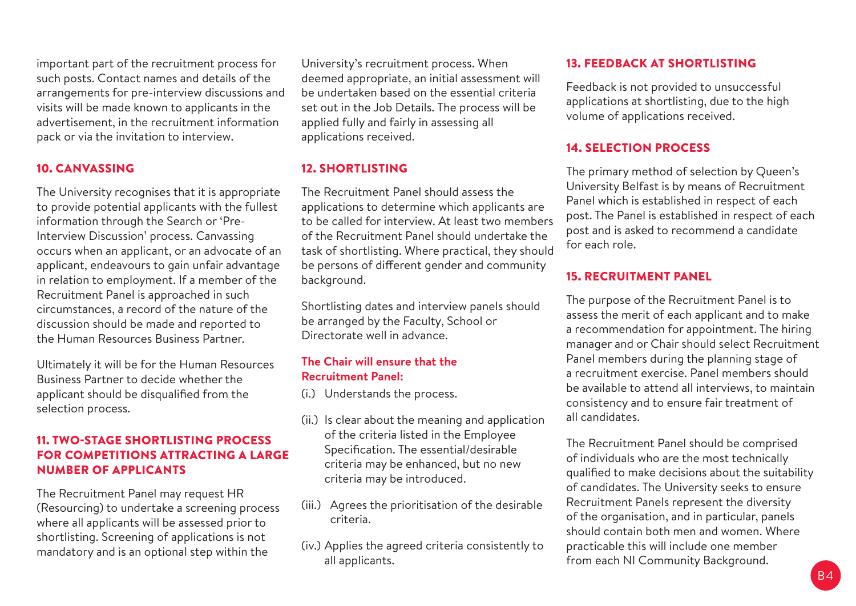important part of the recruitment process for such posts. Contact names and details of the arrangements for pre-interview discussions and visits will be made known to applicants in the advertisement, in the recruitment information pack or via the invitation to interview.

#### 10. CANVASSING

The University recognises that it is appropriate to provide potential applicants with the fullest information through the Search or 'Pre-Interview Discussion' process. Canvassing occurs when an applicant, or an advocate of an applicant, endeavours to gain unfair advantage in relation to employment. If a member of the Recruitment Panel is approached in such circumstances, a record of the nature of the discussion should be made and reported to the Human Resources Business Partner.

Ultimately it will be for the Human Resources Business Partner to decide whether the applicant should be disqualified from the selection process.

#### 11. TWO-STAGE SHORTLISTING PROCESS FOR COMPETITIONS ATTRACTING A LARGE NUMBER OF APPLICANTS

The Recruitment Panel may request HR (Resourcing) to undertake a screening process where all applicants will be assessed prior to shortlisting. Screening of applications is not mandatory and is an optional step within the

University's recruitment process. When deemed appropriate, an initial assessment will be undertaken based on the essential criteria set out in the Job Details. The process will be applied fully and fairly in assessing all applications received.

# 12. SHORTLISTING

The Recruitment Panel should assess the applications to determine which applicants are to be called for interview. At least two members of the Recruitment Panel should undertake the task of shortlisting. Where practical, they should be persons of different gender and community background.

Shortlisting dates and interview panels should be arranged by the Faculty, School or Directorate well in advance.

#### **The Chair will ensure that the Recruitment Panel:**

(i.) Understands the process.

- (ii.) Is clear about the meaning and application of the criteria listed in the Employee Specification. The essential/desirable criteria may be enhanced, but no new criteria may be introduced.
- (iii.) Agrees the prioritisation of the desirable criteria.
- (iv.) Applies the agreed criteria consistently to all applicants.

#### 13. FEEDBACK AT SHORTLISTING

Feedback is not provided to unsuccessful applications at shortlisting, due to the high volume of applications received.

#### 14. SELECTION PROCESS

The primary method of selection by Queen's University Belfast is by means of Recruitment Panel which is established in respect of each post. The Panel is established in respect of each post and is asked to recommend a candidate for each role.

#### 15. RECRUITMENT PANEL

The purpose of the Recruitment Panel is to assess the merit of each applicant and to make a recommendation for appointment. The hiring manager and or Chair should select Recruitment Panel members during the planning stage of a recruitment exercise. Panel members should be available to attend all interviews, to maintain consistency and to ensure fair treatment of all candidates.

The Recruitment Panel should be comprised of individuals who are the most technically qualified to make decisions about the suitability of candidates. The University seeks to ensure Recruitment Panels represent the diversity of the organisation, and in particular, panels should contain both men and women. Where practicable this will include one member from each NI Community Background.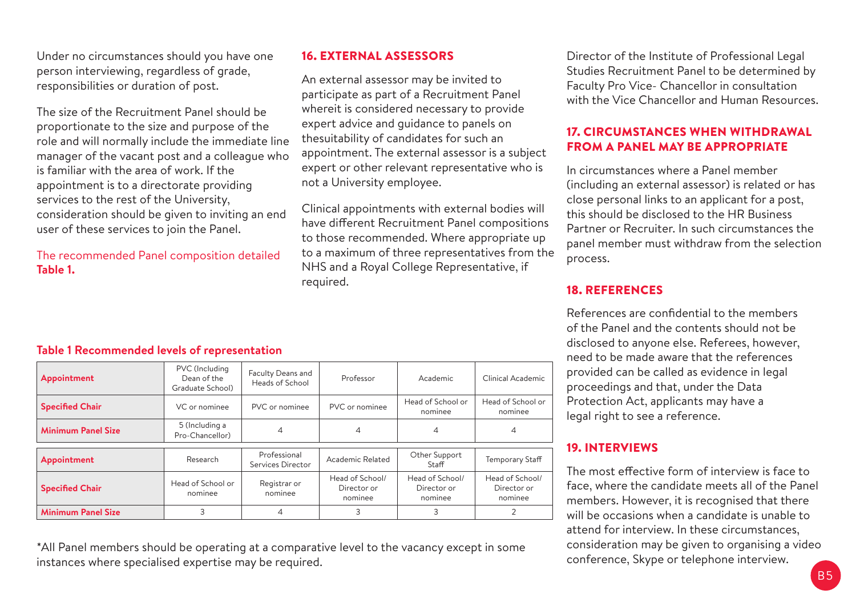Under no circumstances should you have one person interviewing, regardless of grade, responsibilities or duration of post.

The size of the Recruitment Panel should be proportionate to the size and purpose of the role and will normally include the immediate line manager of the vacant post and a colleague who is familiar with the area of work. If the appointment is to a directorate providing services to the rest of the University, consideration should be given to inviting an end user of these services to join the Panel.

The recommended Panel composition detailed **Table 1.**

## 16. EXTERNAL ASSESSORS

An external assessor may be invited to participate as part of a Recruitment Panel whereit is considered necessary to provide expert advice and guidance to panels on thesuitability of candidates for such an appointment. The external assessor is a subject expert or other relevant representative who is not a University employee.

Clinical appointments with external bodies will have different Recruitment Panel compositions to those recommended. Where appropriate up to a maximum of three representatives from the NHS and a Royal College Representative, if required.

Director of the Institute of Professional Legal Studies Recruitment Panel to be determined by Faculty Pro Vice- Chancellor in consultation with the Vice Chancellor and Human Resources.

#### 17. CIRCUMSTANCES WHEN WITHDRAWAL FROM A PANEL MAY BE APPROPRIATE

In circumstances where a Panel member (including an external assessor) is related or has close personal links to an applicant for a post, this should be disclosed to the HR Business Partner or Recruiter. In such circumstances the panel member must withdraw from the selection process.

#### 18. REFERENCES

References are confidential to the members of the Panel and the contents should not be disclosed to anyone else. Referees, however, need to be made aware that the references provided can be called as evidence in legal proceedings and that, under the Data Protection Act, applicants may have a legal right to see a reference.

#### 19. INTERVIEWS

The most effective form of interview is face to face, where the candidate meets all of the Panel members. However, it is recognised that there will be occasions when a candidate is unable to attend for interview. In these circumstances, consideration may be given to organising a video conference, Skype or telephone interview.

# **Table 1 Recommended levels of representation**

| Appointment               | PVC (Including<br>Dean of the<br>Graduate School) | Faculty Deans and<br>Heads of School | Professor                                 | Academic                                  | Clinical Academic                         |
|---------------------------|---------------------------------------------------|--------------------------------------|-------------------------------------------|-------------------------------------------|-------------------------------------------|
| <b>Specified Chair</b>    | VC or nominee                                     | PVC or nominee                       | PVC or nominee                            | Head of School or<br>nominee              | Head of School or<br>nominee              |
| <b>Minimum Panel Size</b> | 5 (Including a<br>Pro-Chancellor)                 |                                      | 4                                         | 4                                         | 4                                         |
| Appointment               | Research                                          | Professional                         | Academic Related                          | Other Support                             | <b>Temporary Staff</b>                    |
|                           |                                                   | Services Director                    |                                           | Staff                                     |                                           |
| <b>Specified Chair</b>    | Head of School or<br>nominee                      | Registrar or<br>nominee              | Head of School/<br>Director or<br>nominee | Head of School/<br>Director or<br>nominee | Head of School/<br>Director or<br>nominee |
| <b>Minimum Panel Size</b> | 3                                                 |                                      | 3                                         | 3                                         |                                           |

\*All Panel members should be operating at a comparative level to the vacancy except in some instances where specialised expertise may be required.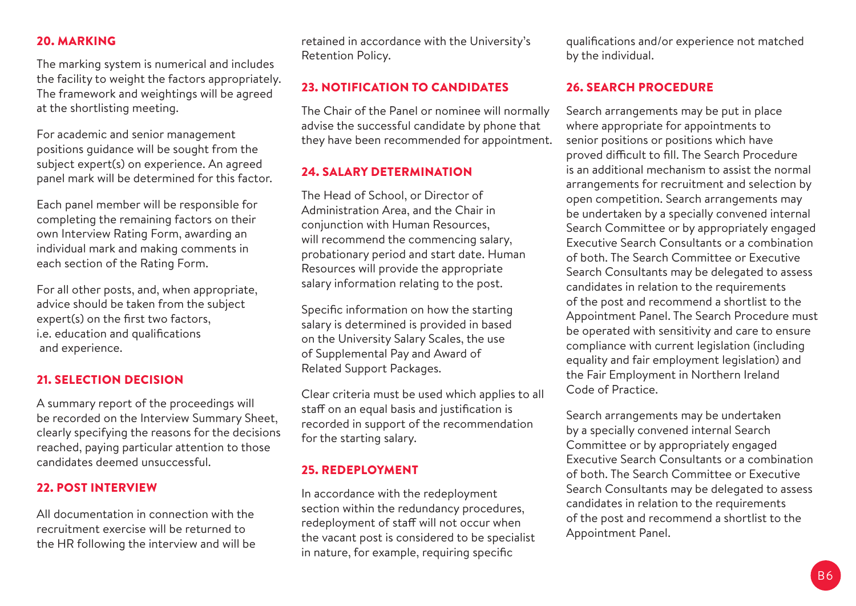#### 20. MARKING

The marking system is numerical and includes the facility to weight the factors appropriately. The framework and weightings will be agreed at the shortlisting meeting.

For academic and senior management positions guidance will be sought from the subject expert(s) on experience. An agreed panel mark will be determined for this factor.

Each panel member will be responsible for completing the remaining factors on their own Interview Rating Form, awarding an individual mark and making comments in each section of the Rating Form.

For all other posts, and, when appropriate, advice should be taken from the subject expert(s) on the first two factors, i.e. education and qualifications and experience.

#### 21. SELECTION DECISION

A summary report of the proceedings will be recorded on the Interview Summary Sheet, clearly specifying the reasons for the decisions reached, paying particular attention to those candidates deemed unsuccessful.

#### 22. POST INTERVIEW

All documentation in connection with the recruitment exercise will be returned to the HR following the interview and will be retained in accordance with the University's Retention Policy.

#### 23. NOTIFICATION TO CANDIDATES

The Chair of the Panel or nominee will normally advise the successful candidate by phone that they have been recommended for appointment.

### 24. SALARY DETERMINATION

The Head of School, or Director of Administration Area, and the Chair in conjunction with Human Resources, will recommend the commencing salary, probationary period and start date. Human Resources will provide the appropriate salary information relating to the post.

Specific information on how the starting salary is determined is provided in based on the University Salary Scales, the use of Supplemental Pay and Award of Related Support Packages.

Clear criteria must be used which applies to all staff on an equal basis and justification is recorded in support of the recommendation for the starting salary.

#### 25. REDEPLOYMENT

In accordance with the redeployment section within the redundancy procedures, redeployment of staff will not occur when the vacant post is considered to be specialist in nature, for example, requiring specific

qualifications and/or experience not matched by the individual.

#### 26. SEARCH PROCEDURE

Search arrangements may be put in place where appropriate for appointments to senior positions or positions which have proved difficult to fill. The Search Procedure is an additional mechanism to assist the normal arrangements for recruitment and selection by open competition. Search arrangements may be undertaken by a specially convened internal Search Committee or by appropriately engaged Executive Search Consultants or a combination of both. The Search Committee or Executive Search Consultants may be delegated to assess candidates in relation to the requirements of the post and recommend a shortlist to the Appointment Panel. The Search Procedure must be operated with sensitivity and care to ensure compliance with current legislation (including equality and fair employment legislation) and the Fair Employment in Northern Ireland Code of Practice.

Search arrangements may be undertaken by a specially convened internal Search Committee or by appropriately engaged Executive Search Consultants or a combination of both. The Search Committee or Executive Search Consultants may be delegated to assess candidates in relation to the requirements of the post and recommend a shortlist to the Appointment Panel.